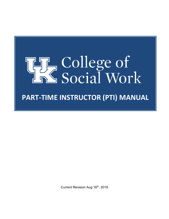

Current Revision Aug 16th, 2019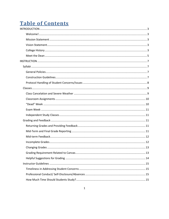# **Table of Contents**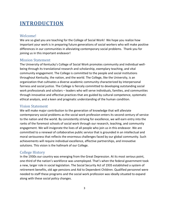# <span id="page-3-0"></span>**INTRODUCTION**

### <span id="page-3-1"></span>Welcome!

We are so glad you are teaching for the College of Social Work! We hope you realize how important your work is in preparing future generations of social workers who will make positive differences in our communities in alleviating contemporary social problems. Thank you for joining us in this important endeavor!

### <span id="page-3-2"></span>Mission Statement

The University of Kentucky's College of Social Work promotes community and individual wellbeing through its translational research and scholarship, exemplary teaching, and vital community engagement. The College is committed to the people and social institutions throughout Kentucky, the nation, and the world. The College, like the University, is an organization that cultivates a diverse academic community characterized by interpersonal fairness and social justice. The College is fiercely committed to developing outstanding social work professionals and scholars – leaders who will serve individuals, families, and communities through innovative and effective practices that are guided by cultural competence, systematic ethical analysis, and a keen and pragmatic understanding of the human condition.

### <span id="page-3-3"></span>Vision Statement

We will make major contribution to the generation of knowledge that will alleviate contemporary social problems as the social work profession enters its second century of service to the nation and the world. By consistently striving for excellence, we will earn entry into the ranks of the foremost schools of social work through our research, teaching, and community engagement. We will invigorate the lives of all people who join us in this endeavor. We are committed to a renewal of collaborative public service that is grounded in an intellectual and moral seriousness that reflects the enormous challenges faced by our global community. Such achievements will require individual excellence, effective partnerships, and innovative solutions. This vision is the hallmark of our College.

### <span id="page-3-4"></span>College History

In the 1930s our country was emerging from the Great Depression. At its most serious point, one-third of the nation's workforce was unemployed. That's when the federal government took a new, larger role in social legislation. The Social Security Act of 1935 established a system of retirement benefits, old age pensions and Aid to Dependent Children. Qualified personnel were needed to staff these programs and the social work profession was ideally situated to expand along with these social policy changes.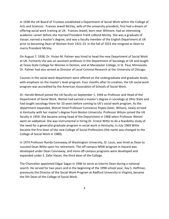In 1938 the UK Board of Trustees established a Department of Social Work within the College of Arts and Sciences. Frances Jewell McVey, wife of the university president, first had a dream of offering social work training at UK. Frances Jewell, born near Wilmore, had an interesting academic career before she married President Frank LeRond McVey. She was a graduate of Vassar, earned a master's degree, and was a faculty member of the English Department at UK prior to becoming Dean of Women from 1921-23. In the fall of 1923 she resigned as Dean to marry President McVey.

On August 7, 1938, Dr. Vivian M. Palmer was hired to head the new Department of Social Work at UK. Formerly she was an assistant professor in the Department of Sociology at UK and taught at Texas State College for Women in Denton, and at Macalaster College, in St. Paul, Minnesota. Dr. Palmer had also served as Director of Local Criminal Research at the University of Chicago.

Courses in the social work department were offered on the undergraduate and graduate levels, with emphasis on the master's level program. Four months after its creation, the UK social work program was accredited by the American Association of Schools of Social Work.

Dr. Harold Wetzel joined the UK faculty on September 1, 1944 as Professor and Head of the Department of Social Work. Wetzel had earned a master's degree in sociology at Ohio State and had taught sociology there for 10 years before coming to UK's social work program. As the department expanded, Wetzel hired Professor Constance Popeo (later, Wilson), newly arrived in Kentucky with her master's degree from Boston University. Professor Wilson joined the UK faculty in 1954. She became acting head of the Department in 1968 when Professor Wetzel went on sabbatical. She was instrumental in hiring Dr. Ernest Witte to do a feasibility study of the need for a generalist graduate program in social work in Kentucky; in July 1969 Witte became the first dean of the new College of Social Professions (the name was changed to the College of Social Work in 1980).

In 1974 Professor Ronda Connaway of Washington University, St. Louis, was hired as Dean to succeed Dean Witte upon his retirement. The off-campus MSW program in Hazard was developed under Dean Connaway, and more off-campus programs were developed and expanded under S. Zafar Hasan, the third dean of the College.

The Chancellor appointed Edgar Sagan in 1996 to serve as Interim Dean during a national search. He served for two years and in the beginning of the 1998 school year, Kay S. Hoffman, previously the Director of the Social Work Program at Radford University in Virginia, became the 5th Dean of the College of Social Work.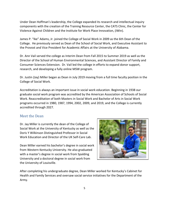Under Dean Hoffman's leadership, the College expanded its research and intellectual inquiry components with the creation of the Training Resource Center, the CATS Clinic, the Center for Violence Against Children and the Institute for Work Place Innovation, (iWin).

James P. "Ike" Adams, Jr. joined the College of Social Work in 2009 as the 6th Dean of the College. He previously served as Dean of the School of Social Work, and Executive Assistant to the Provost and Vice President for Academic Affairs at the University of Alabama.

Dr. Ann Vail served the college as Interim Dean from Fall 2015 to Summer 2019 as well as the Director of the School of Human Environmental Sciences, and Assistant Director of Family and Consumer Sciences Extension. Dr. Vail led the college in efforts to expand donor support, research, and developing a fully online MSW program.

Dr. Justin (Jay) Miller began as Dean in July 2019 moving from a full time faculty position in the College of Social Work.

Accreditation is always an important issue in social work education. Beginning in 1938 our graduate social work program was accredited by the American Association of Schools of Social Work. Reaccreditation of both Masters in Social Work and Bachelor of Arts in Social Work programs occurred in 1980, 1987, 1994, 2002, 2009, and 2019, and the College is currently accredited through 2027.

### <span id="page-5-0"></span>Meet the Dean

Dr. Jay Miller is currently the dean of the College of Social Work at the University of Kentucky as well as the Doris Y Wilkinson Distinguished Professor in Social Work Education and Director of the UK Self-Care Lab.

Dean Miller earned his bachelor's degree in social work from Western Kentucky University. He also graduated with a master's degree in social work from Spalding University and a doctoral degree in social work from the University of Louisville.



After completing his undergraduate degree, Dean Miller worked for Kentucky's Cabinet for Health and Family Services and oversaw social service initiatives for the Department of the Army.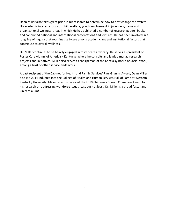Dean Miller also takes great pride in his research to determine how to best change the system. His academic interests focus on child welfare, youth involvement in juvenile systems and organizational wellness, areas in which He has published a number of research papers, books and conducted national and international presentations and lectures. He has been involved in a long line of inquiry that examines self-care among academicians and institutional factors that contribute to overall wellness.

Dr. Miller continues to be heavily engaged in foster care advocacy. He serves as president of Foster Care Alumni of America – Kentucky, where he consults and leads a myriad research projects and initiatives. Miller also serves as chairperson of the Kentucky Board of Social Work, among a host of other service endeavors.

A past recipient of the Cabinet for Health and Family Services' Paul Grannis Award, Dean Miller also is a 2014 inductee into the College of Health and Human Services Hall of Fame at Western Kentucky University. Miller recently received the 2019 Children's Bureau Champion Award for his research on addressing workforce issues. Last but not least, Dr. Miller is a proud foster and kin care alum!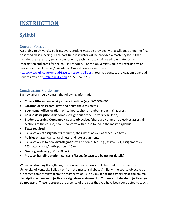# <span id="page-7-0"></span>**INSTRUCTION**

# <span id="page-7-1"></span>**Syllabi**

## <span id="page-7-2"></span>General Policies

According to University policies, every student must be provided with a syllabus during the first or second class meeting. Each part-time instructor will be provided a master syllabus that includes the necessary syllabi components; each instructor will need to update contact information and dates for the course schedule. For the University's policies regarding syllabi, please visit the University's Academic Ombud Services website at <https://www.uky.edu/ombud/faculty-responsibilities> . You may contact the Academic Ombud Services office at [Ombud@uky.edu](mailto:Ombud@uky.edu) or 859-257-3737.

# <span id="page-7-3"></span>Construction Guidelines

Each syllabus should contain the following information:

- **Course title** and university course identifier (e.g., SW 400 -001).
- **Location** of classroom, days and hours the class meets.
- Your **name**, office location, office hours, phone number and e-mail address.
- **Course description** (this comes straight out of the University Bulletin).
- **Student Learning Outcomes / Course objectives** (these are common objectives across all sections of the course) should conform with those found in the master syllabus.
- **Texts required.**
- Explanation of **assignments** required; their dates as well as scheduled tests.
- **Policies** on attendance, tardiness, and late assignments.
- Explanation as to how **overall grades** will be computed (e.g., tests= 65%, assignments = 25%, attendance/participation = 10%).
- **Grading Scale** (e.g., 90 to 100 = A)
- **Protocol handling student concerns/issues (please see below for details)**

When constructing the syllabus, the course description should be used from either the University of Kentucky Bulletin or from the master syllabus. Similarly, the course objectives or outcomes come straight from the master syllabus. **You must not modify or revise the course description or course objectives or signature assignments**. **You may not delete objectives you do not want**. These represent the essence of the class that you have been contracted to teach.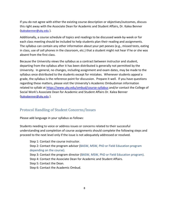If you do not agree with either the existing course description or objectives/outcomes, discuss this right away with the Associate Dean for Academic and Student Affairs, Dr. Kalea Benner [\(kaleabenner@uky.edu](mailto:kaleabenner@uky.edu) ).

Additionally, a course schedule of topics and readings to be discussed week-by-week or for each class meeting should be included to help students plan their reading and assignments. The syllabus can contain any other information about your pet peeves (e.g., missed tests, eating in class, use of cell phones in the classroom, etc.) that a student might not hear if he or she was absent from the first class.

Because the University views the syllabus as a contract between instructor and student, departing from the syllabus after it has been distributed is generally not permitted by the University. In general, no changes, including assignment and exam dates, may be made to the syllabus once distributed to the students except for mistakes. Whenever students appeal a grade, the syllabus is the reference point for discussion. Prepare it well. If you have questions regarding these matters, please visit the University's Academic Ombudsman information related to syllabi at<https://www.uky.edu/ombud/course-syllabus> and/or contact the College of Social Work's Associate Dean for Academic and Student Affairs Dr. Kalea Benner [\(kaleabenner@uky.edu](mailto:kaleabenner@uky.edu) ).

# <span id="page-8-0"></span>Protocol Handling of Student Concerns/Issues

Please add language in your syllabus as follows:

Students needing to voice or address issues or concerns related to their successful understanding and completion of course assignments should complete the following steps and proceed to the next level only if the issue is not adequately addressed or resolved.

Step 1: Contact the course instructor. Step 2: Contact the program advisor (BASW, MSW, PhD or Field Education program depending on the course).

Step 3: Contact the program director (BASW, MSW, PhD or Field Education program). Step 4: Contact the Associate Dean for Academic and Student Affairs. Step 5: Contact the Dean.

Step 6: Contact the Academic Ombud.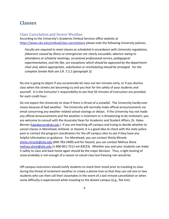# <span id="page-9-0"></span>**Classes**

### <span id="page-9-1"></span>Class Cancelation and Severe Weather

According to the University's Academic Ombud Services office website at <https://www.uky.edu/ombud/class-cancelations> please note the following University policies:

*Faculty are required to meet classes as scheduled in accordance with University regulations. (Absences caused by illness or emergencies are clearly excusable; absence owing to attendance at scholarly meetings, occasional professional service, pedagogical experimentation, and the like, are exceptions which should be approved by the department chair and, where appropriate, substitution or rescheduling should be arranged. For the complete Senate Rule see S.R. 7.2.2 (paragraph 3).*

No one is going to object if you occasionally let class out ten minutes early, or if you dismiss class when the streets are becoming icy and you fear for the safety of your students and yourself. It is the instructor's responsibility to see that 50 minutes of instruction are provided for each credit hour.

Do not expect the University to close if there is threat of a snowfall. The University hardly ever closes because of bad weather. The University will normally make official announcements via email concerning any weather related school closings or delays. If the University has not made any official announcements and the weather is inclement or is threatening to be inclement, you are welcome to consult with the Associate Dean for Academic and Student Affairs, Dr. Kalea Benner [\(kaleabenner@uky.edu](mailto:kaleabenner@uky.edu)). If you are teaching off-campus and trying to decide whether to cancel classes in Morehead, Ashland, or Hazard, it is a good idea to check with the state police post or contact the program coordinators for the off campus sites to see if they have any helpful information or guidance. For Morehead, you can contact Sheila Miracle [sheila.miracle@uky.edu](mailto:sheila.miracle@uky.edu) (606-783-2409) and for Hazard, you can contact Melissa Slone [melissa.slone@uky.edu](mailto:melissa.slone@uky.edu) (1-800-851-7512 ext 83523). Whether you and your students can make it safely to class and back home again should be the major decision. Thus, a light dusting of snow probably is not enough of a reason to cancel class but freezing rain would be.

Off-campus instructors should notify students to check their email prior to traveling to class during the threat of inclement weather or create a phone-tree so that they can call one or two students who can then call their classmates in the event of a last-minute cancellation or when some difficulty is experienced while traveling to the distant campus (e.g., flat tire).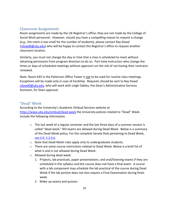## <span id="page-10-0"></span>Classroom Assignments

Room assignments are made by the UK Registrar's office; they are not made by the College of Social Work personnel. However, should you have a *compelling reason* to request a change (e.g., the room is too small for the number of students), please contact Ray Dowd [\(rdowd0@uky.edu\)](mailto:rdowd0@uky.edu) who will be happy to contact the Registrar's office to request another classroom location.

Similarly, you must not change the day or time that a class is scheduled to meet without obtaining permission from program directors to do so. Part-time instructors who change the times or days of scheduled meetings without approval run the risk of not having their contracts renewed.

Note: Room 645 in the Patterson Office Tower is not to be used for routine class meetings. Exceptions will be made only in case of hardship. Requests should be sent to Ray Dowd [rdowd0@uky.edu,](mailto:rdowd0@uky.edu) who will work with Leigh Oakley, the Dean's Administrative Services Assistant, for Dean approval.

### <span id="page-10-1"></span>"Dead" Week

According to the University's Academic Ombud Services website at <https://www.uky.edu/ombud/dead-week> the University policies related to "Dead" Week include the following information.

- $\circ$  The last week of a regular semester and the last three days of a summer session is called "dead week." NO exams are allowed during Dead Week. Below is a summary of the Dead Week policy. For the complete Senate Rule pertaining to Dead Week, [see S.R. 5.2.4.6.](http://www.uky.edu/universitysenate/sites/www.uky.edu.universitysenate/files/Dead_Week_Proposal%20SC%204-6-09.pdf)
- o Note that Dead Week rules apply only to undergraduate students.
- $\circ$  There are some course restrictions related to Dead Week. Below is a brief list of what is and is not allowed during Dead Week:
- o Allowed during dead week:
	- 1. Projects, lab practicals, paper presentations, and oral/listening exams if they are scheduled in the syllabus and the course does not have a final exam. A course with a lab component may schedule the lab practical of the course during Dead Week if the lab portion does not also require a Final Examination during finals week.
	- 2. Make up exams and quizzes.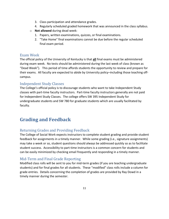- 3. Class participation and attendance grades.
- 4. Regularly scheduled graded homework that was announced in the class syllabus.
- o **Not allowed** during dead week:
	- 1. Papers, written examinations, quizzes, or final examinations.
	- 2. "Take Home" final examinations cannot be due before the regular scheduled final exam period.

## <span id="page-11-0"></span>Exam Week

The official policy of the University of Kentucky is that **all** final exams must be administered during exam week. No tests should be administered during the last week of class (known as "Dead Week"). This period of time affords students the opportunity to review and prepare for their exams. All faculty are expected to abide by University policy–including those teaching offcampus.

# <span id="page-11-1"></span>Independent Study Classes

The College's official policy is to discourage students who want to take Independent Study classes with part-time faculty instructors. Part-time faculty instructors generally are not paid for Independent Study Classes. The college offers SW 395 Independent Study for undergraduate students and SW 780 for graduate students which are usually facilitated by faculty.

# <span id="page-11-2"></span>**Grading and Feedback**

# <span id="page-11-3"></span>Returning Grades and Providing Feedback

The College of Social Work expects instructors to complete student grading and provide student feedback for assignments in a timely manner. While some grading (i.e., signature assignments) may take a week or so, student questions should always be addressed quickly so as to facilitate student success. Accessibility to part-time instructors is a common concern for students and can be easily minimized by checking email frequently and responding in a timely manner.

# <span id="page-11-4"></span>Mid-Term and Final Grade Reporting

Modified class rolls will be sent to you for mid-term grades (if you are teaching undergraduate students) and for final grades for all students. These "modified" class rolls include a column for grade entries. Details concerning the completion of grades are provided by Ray Dowd in a timely manner during the semester.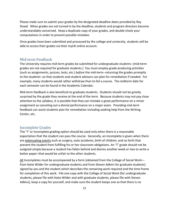Please make sure to submit your grades by the designated deadline dates provided by Ray Dowd. When grades are not turned in by the deadline, students and program directors become understandably concerned. Keep a duplicate copy of your grades, and double check your computations in order to prevent possible mistakes.

Once grades have been submitted and processed by the college and university, students will be able to access their grades via their myUK online account.

### <span id="page-12-0"></span>Mid-term Feedback

The University requires mid-term grades be submitted for undergraduate students--(mid-term grades are not required for graduate students.) You must employ grade producing activities (such as assignments, quizzes, tests, etc.) *before* the mid-term--returning the grades promptly to the students--so that students and student advisors can plan for remediation if needed. For example, many students would rather withdraw than to fail a course. The midterm date for each semester can be found in the Academic Calendar.

Mid-term feedback is also beneficial to graduate students. Students should not be greatly surprised by the grade they receive at the end of the term. Because students may not pay close attention to the syllabus, it is possible that they can mistake a great performance on a minor assignment as canceling out a dismal performance on a major exam. Providing mid-term feedback can assist students plan for remediation including seeking help from the Writing Center, etc.

### <span id="page-12-1"></span>Incomplete Grades

The "I" or Incomplete grading option should be used only when there is a reasonable expectation that the student can pass the course. Generally, an Incomplete is given when there are extenuating events such as surgery, auto accidents, birth of children, and so forth that prevent the student from fulfilling his or her classroom obligations. An "I" grade should not be assigned simply because a student has fallen behind and desires another week or two to write a better paper–that would be unfair to the other students.

All Incompletes must be accompanied by a form (obtained from the College of Social Work from Katie Wilder for undergraduate students and from Steven Adkins for graduate students) signed by you and the student which describes the remaining work required and the time frame for completion of this work. File one copy with the College of Social Work (for undergraduate students, please file with Katie Wilder and with graduate students, please file with Steven Adkins), keep a copy for yourself, and make sure the student keeps one so that there is no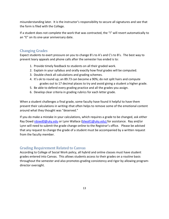misunderstanding later. It is the instructor's responsibility to secure all signatures and see that the form is filed with the College.

If a student does not complete the work that was contracted, the "I" will revert automatically to an "E" on its one-year anniversary date.

# <span id="page-13-0"></span>Changing Grades

Expect students to exert pressure on you to change B's to A's and C's to B's. The best way to prevent teary appeals and phone calls after the semester has ended is to:

- 1. Provide timely feedback to students on all their graded work.
- 2. Explain in your syllabus and orally exactly how final grades will be computed.
- 3. Double-check all calculations and grading schemes.
- 4. It's ok to round up; an 89.73 can become a 90%; do not split hairs and compute grades out to 17 decimal places to try and avoid giving a student a higher grade.
- 5. Be able to defend every grading practice and all the grades you assign.
- 6. Develop clear criteria in grading rubrics for each letter grade.

When a student challenges a final grade, some faculty have found it helpful to have them present their calculations in writing–that often helps to remove some of the emotional content around what they thought was "deserved."

If you do make a mistake in your calculations, which requires a grade to be changed, ask either Ray Dow[d rdowd0@uky.edu](mailto:rdowd0@uky.edu) or Lynn Wallace [\(blwall1@uky.edu\)](mailto:blwall1@uky.edu) for assistance. Ray and/or Lynn will need to submit the grade change online to the Registrar's office. Please be advised that any request to change the grade of a student must be accompanied by a written request from the faculty member.

# <span id="page-13-1"></span>Grading Requirement Related to Canvas

According to College of Social Work policy, all hybrid and online classes must have student grades entered into Canvas. This allows students access to their grades on a routine basis throughout the semester and also promotes grading consistency and rigor by allowing programdirector oversight.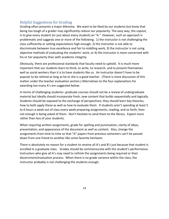# <span id="page-14-0"></span>Helpful Suggestions for Grading

Grading often presents a major dilemma. We want to be liked by our students but know that being too tough of a grader may significantly reduce our popularity. The easy way, the copout, is to give every student (or just about every student) an "A." However, such an approach is problematic and suggests one or more of the following: 1) the instructor is not challenging the class sufficiently or setting expectations high enough, 2) the instructor is not able to discriminate between true excellence and fair to middling work, 3) the instructor is not using objective methods of evaluating the students' work, or 4) the instructor is more concerned with his or her popularity than with academic integrity.

Obviously, there are professional standards that faculty need to uphold. It is much more important that our students learn to think, to write, to research, and to present themselves well as social workers than it is to have students like us. An instructor doesn't have to be popular to be rehired as long as he or she is a good teacher. (There is more discussion of this matter under the teacher evaluation section.) Alternatives to the four explanations for awarding too many A's are suggested below.

In terms of challenging students– graduate courses should not be a review of undergraduate material but ideally should incorporate fresh, new content that builds sequentially and logically. Students should be exposed to the exchange of perspectives; they should learn key theories, how to both apply these as well as how to evaluate them. If students aren't spending at least 5 to 6 hours a week out of class every week preparing assignments, reading, and so forth, then not enough is being asked of them. Don't hesitate to send them to the library. Expect more rather than less of your students.

When requiring written assignments, grade for spelling and punctuation, clarity of ideas, presentation, and appearance of the document as well as content. Also, change the assignments from time to time so that "A" papers from previous semesters can't be passed down from one friend to another like some favorite heirloom.

There is absolutely no reason for a student to receive all A's and B's just because that student is enrolled in a graduate class. Grades should be commensurate with the student's performance. Instructors who give all A's may need to rethink the assignments being required or their discernment/evaluation process. When there is no grade variance within the class, the instructor probably is not challenging the students enough.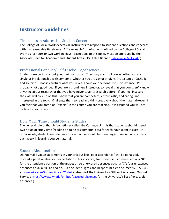# <span id="page-15-0"></span>**Instructor Guidelines**

### <span id="page-15-1"></span>Timeliness in Addressing Student Concerns

The College of Social Work expects all instructors to respond to student questions and concerns within a reasonable timeframe. A "reasonable" timeframe is defined by the College of Social Work as 48 hours or two working days. Exceptions to this policy must be approved by the Associate Dean for Academic and Student Affairs, Dr. Kalea Benner [\(kaleabenner@uky.edu](mailto:kaleabenner@uky.edu) )..

### <span id="page-15-2"></span>Professional Conduct/ Self-Disclosure/Absences

Students are curious about you, their instructor. They may want to know whether you are single or in relationship with someone–whether you are gay or straight, Protestant or Catholic, and so forth. Choose carefully what you reveal about your personal life. For instance, it's probably not a good idea, if you are a brand new instructor, to reveal that you don't *really* know anything about research or that you have never taught research before. If you feel insecure, the class will pick up on this. Show that you are competent, enthusiastic, and caring, and interested in the topic. Challenge them to read and think creatively about the material –even if you feel that you aren't an "expert" in the course you are teaching. It is assumed you will not be late for your class.

### <span id="page-15-3"></span>How Much Time Should Students Study?

The general rule of thumb (sometimes called the Carnegie Unit) is that students should spend two hours of study time (reading or doing assignments, etc.) for each hour spent in class. In other words, students enrolled in a 3-hour course should be spending 6 hours outside of class each week in learning course material.

#### <span id="page-15-4"></span>Student Absenteeism

Do not make vague statements in your syllabus like "poor attendance" will be penalized. Instead, operationalize your expectations. For instance, two unexcused absences equal a "B" for the attendance portion of the grade; three unexcused absences equal a "C"; four unexcused absences equal a "D" and so on. (See Student Rights and Responsibilities document S.R. 5.2.4.2 at [www.uky.edu/StudentAffairs/Code/](http://www.uky.edu/StudentAffairs/Code/) and/or visit the University's Office of Academic Ombud Services <https://www.uky.edu/ombud/excused-absences> for the University's list of excusable absences.)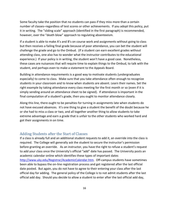Some faculty take the position that no students can pass if they miss more than a certain number of classes–regardless of test scores or other achievements. If you adopt this policy, put it in writing. The "sliding scale" approach (identified in the first paragraph) is recommended, however, over the "death blow" approach to regulating absenteeism.

If a student is able to make A's and B's on course work and assignments without going to class but then receives a failing final grade because of poor attendance, you can bet the student will challenge the grade and go to the Ombud. (If a student can earn excellent grades without attending class, one also has to wonder what the instructor contributes to the educational experience.) If your policy is in writing, the student won't have a good case. Nonetheless, these cases are nuisances that will require time to explain things to the Ombud, to talk with the student, and perhaps even to make a statement to the Appeals Board.

Building in attendance requirements is a good way to motivate students (undergraduates especially) to come to class. Make sure that you take attendance often enough to recognize students in your classroom and to know when students are absent. Learn their names. Set the right example by taking attendance every class meeting for the first month or so (even if it is simply sending around an attendance sheet to be signed). If attendance is important in the final computation of a student's grade, then you ought to monitor attendance closely.

Along this line, there ought to be penalties for turning in assignments late when students do not have excused absences. It's one thing to give a student the benefit of the doubt because he or she had to miss a class or two, and all together another thing to allow students to take extreme advantage and earn a grade that is unfair to the other students who worked hard and got their assignments in on time.

### <span id="page-16-0"></span>Adding Students after the Start of Classes

If a class is already full and an additional student requests to add it, an override into the class is required. The College will generally ask the student to secure the instructor's permission before granting an override. As an instructor, you have the right to refuse a student's request to add your class once the University's official "add" date has passed. The University posts an academic calendar online which identifies these types of important dates [http://www.uky.edu/Registrar/AcademicCalendar.htm.](http://www.uky.edu/Registrar/AcademicCalendar.htm) Off-campus students have sometimes been able to bypass the on-line registration process and get registered after the last official date posted. But again, you do not have to agree to their entering your class after the last official day for adding. The general policy of the College is to not admit students after the last official add day. Should you decide to allow a student to enter after the last official add day,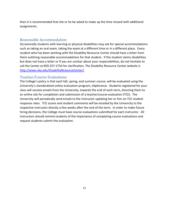then it is recommended that she or he be asked to make up the time missed with additional assignments.

# <span id="page-17-0"></span>Reasonable Accommodation

Occasionally students with learning or physical disabilities may ask for special accommodations such as taking an oral exam, taking the exam at a different time or in a different place. Every student who has been working with the Disability Resource Center should have a letter from them outlining reasonable accommodations for that student. If the student claims disabilities but does not have a letter or if you are unclear about your responsibilities, do not hesitate to call the Center at 859-257-2754 for clarification. The Disability Resource Center website is [http://www.uky.edu/DisabilityResourceCenter/.](http://www.uky.edu/DisabilityResourceCenter/)

## <span id="page-17-1"></span>Teacher/Course Evaluations

The College's policy is that each fall, spring, and summer course, will be evaluated using the University's standardized online evaluation program, eXplorance. Students registered for your class will receive emails from the University, towards the end of each term, directing them to an online site for completion and submission of a teacher/course evaluation (TCE). The University will periodically send emails to the instructor updating her or him on TCE student response rates. TCE scores and student comments will be emailed by the University to the respective instructor directly a few weeks after the end of the term. In order to make future hiring decisions, the College must have course evaluations submitted for each instructor. All instructors should remind students of the importance of completing course evaluations and request students submit the evaluation.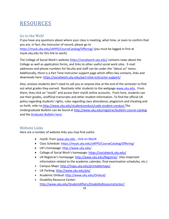# <span id="page-18-0"></span>RESOURCES

## <span id="page-18-1"></span>Go to the Web!

If you have any questions about where your class is meeting, what time, or even to confirm that you are, in fact, the instructor of record, please go to <https://myuk.uky.edu/zAPPS/CourseCatalog/Offering/> (you must be logged in first at myuk.uky.edu for this link to work).

The College of Social Work's website<https://socialwork.uky.edu/> contains news about the College as well as application forms, and links to other useful social work sites. E-mail addresses and phone numbers for faculty and staff can be under the "about us" menu. Additionally, there is a Part Time Instructor support page which offers key contacts, links and downloads here:<https://socialwork.uky.edu/part-time-instructor-support/>

Also, anxious students don't need to call you or anyone else at the end of the semester to find out what grades they earned. Routinely refer students to the webpage www.uky.edu. From there, they click on "myUK" and access their myUK online accounts. From here, students can see their grades, unofficial transcripts and other student information. To find the official UK policy regarding students' rights, rules regarding class attendance, plagiarism and cheating and so forth, refer to <http://www.uky.edu/studentconduct/code-student-conduct> The Undergraduate Bulletin can be found at<http://www.uky.edu/registrar/bulletin-course-catalog> and the [Graduate Bulletin](http://gradschool.uky.edu/graduate-school-bulletin) here.

# <span id="page-18-2"></span>Website Links

Here are a number of website links you may find useful:

- myUK: from [www.uky.edu](http://www.uky.edu/) , click on MyUK
- Class Schedule:<https://myuk.uky.edu/zAPPS/CourseCatalog/Offering/>
- UK's homepage:<http://www.uky.edu/>
- College of Social Work's homepage:<https://socialwork.uky.edu/>
- UK Registrar's homepage:<http://www.uky.edu/Registrar/> (Has important information related to the academic calendar, final examination schedules, etc.)
- Campus Maps: <http://maps.uky.edu/printablemaps/>
- UK Parking: <http://www.uky.edu/pts/>
- Academic Ombud: <http://www.uky.edu/Ombud/>
- Disability Resource Center: <http://www.uky.edu/StudentAffairs/DisabilityResourceCenter/>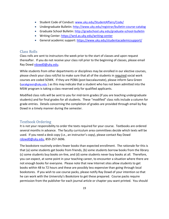- Student Code of Conduct: [www.uky.edu/StudentAffairs/Code/](http://www.uky.edu/StudentAffairs/Code/)
- Undergraduate Bulletin: <http://www.uky.edu/registrar/bulletin-course-catalog>
- Graduate School Bulletin: <http://gradschool.uky.edu/graduate-school-bulletin>
- Writing Center: <https://wrd.as.uky.edu/writing-center>
- General academic support: <https://www.uky.edu/studentacademicsupport/>

# <span id="page-19-0"></span>Class Rolls

Class rolls are sent to instructors the week prior to the start of classes and upon request thereafter. If you do not receive your class roll prior to the beginning of classes, please email Ray Dow[d rdowd0@uky.edu.](mailto:rdowd0@uky.edu)

While students from other departments or disciplines may be enrolled in our elective courses, please check your class roll/list to make sure that all of the students in required social work courses are coded SOWK. If they are POBA (post baccalaureate), please inform Sara Green [\(sarakgreen@uky.edu](mailto:sarakgreen@uky.edu) ) as this may indicate that a student who has not been admitted into the MSW program is taking a class reserved only for qualified applicants.

Modified class rolls will be sent to you for mid-term grades (if you are teaching undergraduate students) and for final grades for all students. These "modified" class rolls include a column for grade entries. Details concerning the completion of grades are provided through email by Ray Dowd in a timely manner during the semester.

# <span id="page-19-1"></span>Textbook Ordering

It is not your responsibility to order the texts required for your course. Textbooks are ordered several months in advance. The faculty curriculum area committees decide which texts will be used. If you need a desk copy (i.e., an instructor's copy), please contact Ray Dowd [rdowd0@uky.edu,](mailto:rdowd0@uky.edu) 859-257-3696.

The bookstore routinely orders fewer books than expected enrollment. The rationale for this is that (a) some students get books from friends, (b) some students borrow books from the library (c) some students buy books on-line, and (d) some students never buy books at all. Therefore, you can expect, at some point in your teaching career, to encounter a situation where there are not enough books for everyone. Please note that new Internet sites allow students to get books within 48 to 72 hours and these are possibly less expensive than going through local bookstores. If you wish to use course packs, please notify Ray Dowd of your intention so that he can work with the University's Bookstore to get these prepared. Course packs require permission from the publisher for each journal article or chapter you want printed. You should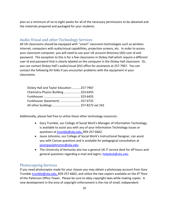plan on a minimum of six to eight weeks for all of the necessary permissions to be obtained and the materials prepared and packaged for your students.

### <span id="page-20-0"></span>Audio-Visual and other Technology Services

All UK classrooms should be equipped with "smart" classroom technologies such as wireless internet, computers with audio/visual capabilities, projection screens, etc. In order to access your classroom computer, you will need to use your UK account directory (AD) user id and password. The exception to this is for a few classrooms in Dickey Hall which require a different user id and password that is clearly labeled on the computer in the Dickey Hall classroom. Or, you can contact Dickey Hall's audio/visual (AV) office for assistance at 257-7967. You can contact the following AV folks if you encounter problems with the equipment in your classrooms.

| Dickey Hall and Taylor Education  257-7967 |  |
|--------------------------------------------|--|
| Chemistry-Physics Building 323-6455        |  |
|                                            |  |
| Funkhouser (basement)  257-4725            |  |
| All other buildings 257-8272 ext 242       |  |

Additionally, please feel free to utilize these other technology resources:

- Gary Trumble, our College of Social Work's Manager of Information Technology, is available to assist you with any of your Information Technology issues or questions at [trumble@uky.edu,](mailto:trumble@uky.edu) 859-257-6662.
- Jason Johnston, our College of Social Work's Instructional Designer, can assist you with Canvas questions and is available for pedagogical consultation at [jasonpauljohnston@uky.edu.](mailto:jasonpauljohnston@uky.edu)
- The University of Kentucky also has a general UK IT service desk for off hours and general questions regarding e-mail and logins: [helpdesk@uky.edu.](mailto:helpdesk@uky.edu)

#### <span id="page-20-1"></span>Photocopying Services

If you need photocopies made for your classes you may obtain a photocopy account from Gary Trumbl[e trumble@uky.edu,](mailto:trumble@uky.edu) 859-257-6662, and utilize the two copiers available on the 6<sup>th</sup> floor of the Patterson Office Tower. Please be sure to obey copyright laws while making copies. A new development in the area of copyright enforcement is the rise of small, independent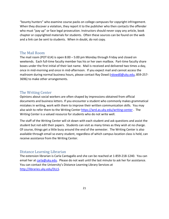"bounty hunters" who examine course packs on college campuses for copyright infringement. When they discover a violation, they report it to the publisher who then contacts the offender who must "pay up" or face legal prosecution. Instructors should never copy any article, book chapter or copyrighted materials for students. Often these sources can be found on the web and a link can be sent to students. When in doubt, do not copy.

### <span id="page-21-0"></span>The Mail Room

The mail room (POT 614) is open 8:00 – 5:00 pm Monday through Friday and closed on weekends. Each full-time faculty member has his or her own mailbox. Part-time faculty share boxes under the first initial of their last name. Mail is received and delivered two times a day, once in mid-morning and once in mid-afternoon. If you expect mail and cannot access the mailroom during normal business hours, please contact Ray Dowd [\(rdowd0@uky.edu,](mailto:rdowd0@uky.edu) 859-257- 3696) to make other arrangements.

### <span id="page-21-1"></span>The Writing Center

Opinions about social workers are often shaped by impressions obtained from official documents and business letters. If you encounter a student who commonly makes grammatical mistakes in writing, work with them to improve their written communication skills. You may also wish to refer them to the Writing Center <https://wrd.as.uky.edu/writing-center> . The Writing Center is a valued resource for students who do not write well.

The staff of the Writing Center will sit down with each student and ask questions and assist the student but not edit their papers. Students can visit as many times as they wish at no charge. Of course, things get a little busy around the end of the semester. The Writing Center is also available through email so every student, regardless of which campus location class is held, can receive assistance from the Writing Center.

### <span id="page-21-2"></span>Distance Learning Librarian

The extension librarian is Carla Cantagallo and she can be reached at 1-859-218-1240. You can email her at [carla@uky.edu.](mailto:carla%40uky.edu) Please do not wait until the last minute to ask her for assistance. You can contact the University's Distance Learning Library Services at [http://libraries.uky.edu/DLLS.](http://libraries.uky.edu/DLLS)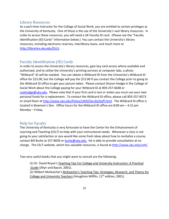### <span id="page-22-0"></span>Library Resources

As a part-time instructor for the College of Social Work, you are entitled to certain privileges at the University of Kentucky. One of these is the use of the University's vast library resources. In order to access these resources, you will need a UK Faculty ID card. (Please see the "Faculty Identification (ID) Cards" information below.) You can contact the University's library resources, including electronic reserves, interlibrary loans, and much more at [http://libraries.uky.edu/DLLS.](http://libraries.uky.edu/DLLS)

### <span id="page-22-1"></span>Faculty Identification (ID) Cards

In order to access the University's library resources, gain key card access where available and authorized, and to utilize the University's printing services at computer labs, a photo "Wildcard" ID will be needed. You can obtain a Wildcard ID from the University's Wildcard ID office for \$15.00, but the College will pay the \$15.00 if you contact the College prior to going to the Wildcard ID office to get your picture taken. Please contact Sharon Hodge in the College of Social Work about the College paying for your Wildcard ID at 859-257-6648 or [cswhodge@uky.edu.](mailto:cswhodge@uky.edu) Please note that if your first card is lost or stolen you must use your own personal funds for a replacement. To contact the Wildcard ID office, please call 859-257-8573 or email them at [http://www.uky.edu/Police/UKID/facultyStaff.html.](http://www.uky.edu/Police/UKID/facultyStaff.html) The Wildcard ID office is located in Bowman's Den. Office hours for the Wildcard ID office are 8:00 am – 4:15 pm Monday – Friday.

### <span id="page-22-2"></span>Help for Faculty

The University of Kentucky is very fortunate to have the Center for the Enhancement of Learning and Teaching (CELT) to help with your instructional needs. Whenever a class is not going to your satisfaction or you would like some fresh ideas about how to revitalize a course, contact Bill Burke at 257-8039 or burke@uky.edu. He is able to provide consultation at no charge. The CELT website, which has valuable resources, is found at [http://www.uky.edu/celt/.](http://www.uky.edu/celt/)

Two very useful books that you might want to consult are the following:

(1) Dr. David Royse's Teaching Tips For College and University Instructors: A Practical Guide (Allyn and Bacon, 2001). (2) Wilbert McKeachie's McKeachie's Teaching Tips: Strategies, Research, and Theory for College and University Teachers (Houghton Mifflin, 11<sup>th</sup> edition, 2001).